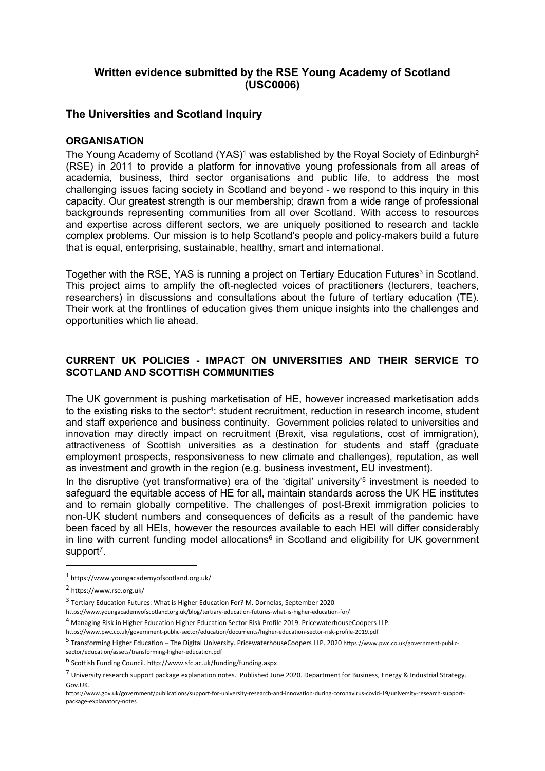# **Written evidence submitted by the RSE Young Academy of Scotland (USC0006)**

# **The Universities and Scotland Inquiry**

### **ORGANISATION**

The Young Academy of Scotland (YAS)<sup>1</sup> was established by the Royal Society of Edinburgh<sup>2</sup> (RSE) in 2011 to provide a platform for innovative young professionals from all areas of academia, business, third sector organisations and public life, to address the most challenging issues facing society in Scotland and beyond - we respond to this inquiry in this capacity. Our greatest strength is our membership; drawn from a wide range of professional backgrounds representing communities from all over Scotland. With access to resources and expertise across different sectors, we are uniquely positioned to research and tackle complex problems. Our mission is to help Scotland's people and policy-makers build a future that is equal, enterprising, sustainable, healthy, smart and international.

Together with the RSE, YAS is running a project on Tertiary Education Futures<sup>3</sup> in Scotland. This project aims to amplify the oft-neglected voices of practitioners (lecturers, teachers, researchers) in discussions and consultations about the future of tertiary education (TE). Their work at the frontlines of education gives them unique insights into the challenges and opportunities which lie ahead.

# **CURRENT UK POLICIES - IMPACT ON UNIVERSITIES AND THEIR SERVICE TO SCOTLAND AND SCOTTISH COMMUNITIES**

The UK government is pushing marketisation of HE, however increased marketisation adds to the existing risks to the sector<sup>4</sup>: student recruitment, reduction in research income, student and staff experience and business continuity. Government policies related to universities and innovation may directly impact on recruitment (Brexit, visa regulations, cost of immigration), attractiveness of Scottish universities as a destination for students and staff (graduate employment prospects, responsiveness to new climate and challenges), reputation, as well as investment and growth in the region (e.g. business investment, EU investment).

In the disruptive (yet transformative) era of the 'digital' university'<sup>5</sup> investment is needed to safeguard the equitable access of HE for all, maintain standards across the UK HE institutes and to remain globally competitive. The challenges of post-Brexit immigration policies to non-UK student numbers and consequences of deficits as a result of the pandemic have been faced by all HEIs, however the resources available to each HEI will differ considerably in line with current funding model allocations $6$  in Scotland and eligibility for UK government support<sup>7</sup>.

- <https://www.youngacademyofscotland.org.uk/blog/tertiary-education-futures-what-is-higher-education-for/>
- <sup>4</sup> Managing Risk in Higher Education Higher Education Sector Risk Profile 2019. PricewaterhouseCoopers LLP.

<sup>1</sup> <https://www.youngacademyofscotland.org.uk/>

<sup>2</sup> <https://www.rse.org.uk/>

<sup>&</sup>lt;sup>3</sup> Tertiary Education Futures: What is Higher Education For? M. Dornelas, September 2020

<https://www.pwc.co.uk/government-public-sector/education/documents/higher-education-sector-risk-profile-2019.pdf>

<sup>5</sup> Transforming Higher Education – The Digital University. PricewaterhouseCoopers LLP. 2020 [https://www.pwc.co.uk/government-public](https://www.pwc.co.uk/government-public-sector/education/assets/transforming-higher-education.pdf)[sector/education/assets/transforming-higher-education.pdf](https://www.pwc.co.uk/government-public-sector/education/assets/transforming-higher-education.pdf)

<sup>6</sup> Scottish Funding Council. <http://www.sfc.ac.uk/funding/funding.aspx>

<sup>7</sup> University research support package explanation notes. Published June 2020. Department for Business, Energy & Industrial Strategy. Gov.UK.

[https://www.gov.uk/government/publications/support-for-university-research-and-innovation-during-coronavirus-covid-19/university-research-support](https://www.gov.uk/government/publications/support-for-university-research-and-innovation-during-coronavirus-covid-19/university-research-support-package-explanatory-notes)[package-explanatory-notes](https://www.gov.uk/government/publications/support-for-university-research-and-innovation-during-coronavirus-covid-19/university-research-support-package-explanatory-notes)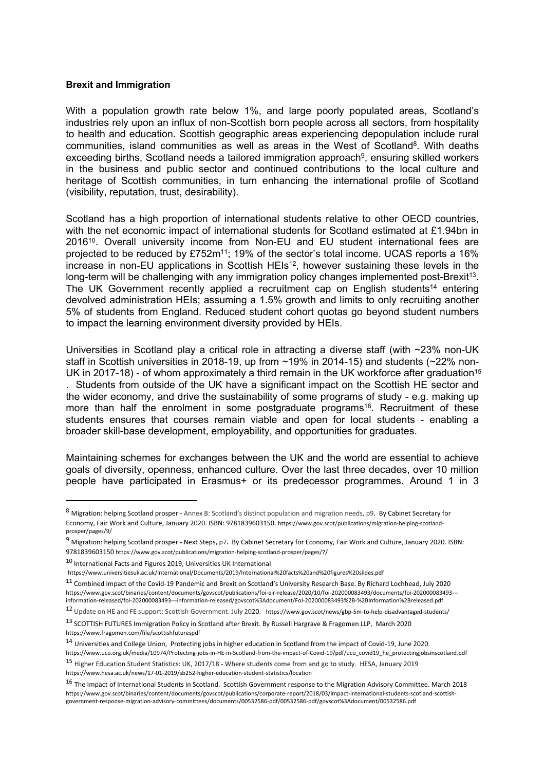#### **Brexit and Immigration**

With a population growth rate below 1%, and large poorly populated areas, Scotland's industries rely upon an influx of non-Scottish born people across all sectors, from hospitality to health and education. Scottish geographic areas experiencing depopulation include rural communities, island communities as well as areas in the West of Scotland<sup>8</sup>. With deaths exceeding births, Scotland needs a tailored immigration approach<sup>9</sup>, ensuring skilled workers in the business and public sector and continued contributions to the local culture and heritage of Scottish communities, in turn enhancing the international profile of Scotland (visibility, reputation, trust, desirability).

Scotland has a high proportion of international students relative to other OECD countries, with the net economic impact of international students for Scotland estimated at £1.94bn in 2016<sup>10</sup>. Overall university income from Non-EU and EU student international fees are projected to be reduced by £752m<sup>11</sup>; 19% of the sector's total income. UCAS reports a 16% increase in non-EU applications in Scottish HEIs<sup>12</sup>, however sustaining these levels in the long-term will be challenging with any immigration policy changes implemented post-Brexit<sup>13</sup>. The UK Government recently applied a recruitment cap on English students<sup>14</sup> entering devolved administration HEIs; assuming a 1.5% growth and limits to only recruiting another 5% of students from England. Reduced student cohort quotas go beyond student numbers to impact the learning environment diversity provided by HEIs.

Universities in Scotland play a critical role in attracting a diverse staff (with ~23% non-UK staff in Scottish universities in 2018-19, up from ~19% in 2014-15) and students (~22% non-UK in 2017-18) - of whom approximately a third remain in the UK workforce after graduation<sup>15</sup> . Students from outside of the UK have a significant impact on the Scottish HE sector and the wider economy, and drive the sustainability of some programs of study - e.g. making up more than half the enrolment in some postgraduate programs<sup>16</sup>. Recruitment of these students ensures that courses remain viable and open for local students - enabling a broader skill-base development, employability, and opportunities for graduates.

Maintaining schemes for exchanges between the UK and the world are essential to achieve goals of diversity, openness, enhanced culture. Over the last three decades, over 10 million people have participated in Erasmus+ or its predecessor programmes. Around 1 in 3

<sup>8</sup> Migration: helping Scotland prosper - Annex B: Scotland's distinct population and migration needs, p9**.** By Cabinet Secretary for Economy, Fair Work and Culture, January 2020. ISBN: 9781839603150. [https://www.gov.scot/publications/migration-helping-scotland](https://www.gov.scot/publications/migration-helping-scotland-prosper/pages/9/)[prosper/pages/9/](https://www.gov.scot/publications/migration-helping-scotland-prosper/pages/9/)

<sup>9</sup> Migration: helping Scotland prosper - Next Steps**,** p7**.** By Cabinet Secretary for Economy, Fair Work and Culture, January 2020. ISBN: 9781839603150 <https://www.gov.scot/publications/migration-helping-scotland-prosper/pages/7/>

<sup>10</sup> International Facts and Figures 2019, Universities UK International

<https://www.universitiesuk.ac.uk/International/Documents/2019/International%20facts%20and%20figures%20slides.pdf>

<sup>11</sup> Combined impact of the Covid-19 Pandemic and Brexit on Scotland's University Research Base. By Richard Lochhead, July 2020 [https://www.gov.scot/binaries/content/documents/govscot/publications/foi-eir-release/2020/10/foi-202000083493/documents/foi-202000083493--](https://www.gov.scot/binaries/content/documents/govscot/publications/foi-eir-release/2020/10/foi-202000083493/documents/foi-202000083493---information-released/foi-202000083493---information-released/govscot%3Adocument/FoI-202000083493%2B-%2BInformation%2Breleased.pdf) [information-released/foi-202000083493---information-released/govscot%3Adocument/FoI-202000083493%2B-%2BInformation%2Breleased.pdf](https://www.gov.scot/binaries/content/documents/govscot/publications/foi-eir-release/2020/10/foi-202000083493/documents/foi-202000083493---information-released/foi-202000083493---information-released/govscot%3Adocument/FoI-202000083493%2B-%2BInformation%2Breleased.pdf)

<sup>12</sup> Update on HE and FE support: Scottish Government. July 2020. <https://www.gov.scot/news/gbp-5m-to-help-disadvantaged-students/>

<sup>13</sup> SCOTTISH FUTURES Immigration Policy in Scotland after Brexit. By Russell Hargrave & Fragomen LLP, March 2020 <https://www.fragomen.com/file/scottishfuturespdf>

<sup>14</sup> Universities and College Union, Protecting jobs in higher education in Scotland from the impact of Covid-19, June 2020. [https://www.ucu.org.uk/media/10974/Protecting-jobs-in-HE-in-Scotland-from-the-impact-of-Covid-19/pdf/ucu\\_covid19\\_he\\_protectingjobsinscotland.pdf](https://www.ucu.org.uk/media/10974/Protecting-jobs-in-HE-in-Scotland-from-the-impact-of-Covid-19/pdf/ucu_covid19_he_protectingjobsinscotland.pdf)

<sup>15</sup> Higher Education Student Statistics: UK, 2017/18 - Where students come from and go to study. HESA, January 2019 <https://www.hesa.ac.uk/news/17-01-2019/sb252-higher-education-student-statistics/location>

<sup>&</sup>lt;sup>16</sup> The Impact of International Students in Scotland. Scottish Government response to the Migration Advisory Committee. March 2018 [https://www.gov.scot/binaries/content/documents/govscot/publications/corporate-report/2018/03/impact-international-students-scotland-scottish](https://www.gov.scot/binaries/content/documents/govscot/publications/corporate-report/2018/03/impact-international-students-scotland-scottish-government-response-migration-advisory-committees/documents/00532586-pdf/00532586-pdf/govscot%3Adocument/00532586.pdf)[government-response-migration-advisory-committees/documents/00532586-pdf/00532586-pdf/govscot%3Adocument/00532586.pdf](https://www.gov.scot/binaries/content/documents/govscot/publications/corporate-report/2018/03/impact-international-students-scotland-scottish-government-response-migration-advisory-committees/documents/00532586-pdf/00532586-pdf/govscot%3Adocument/00532586.pdf)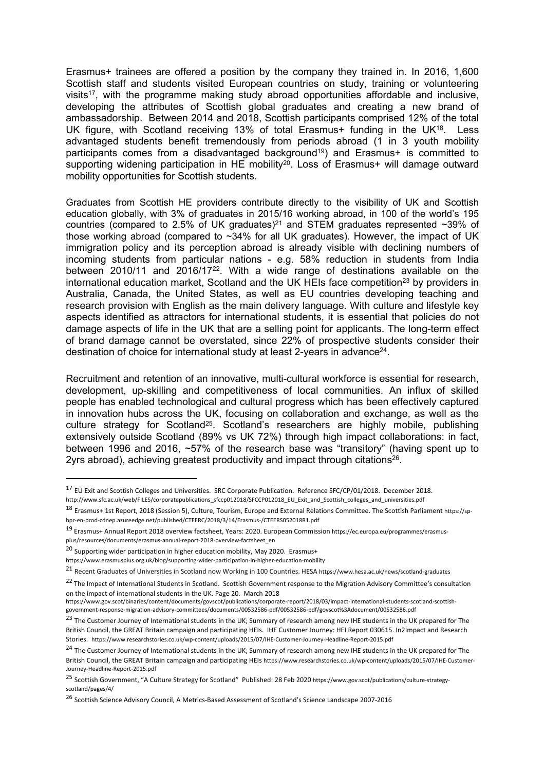Erasmus+ trainees are offered a position by the company they trained in. In 2016, 1,600 Scottish staff and students visited European countries on study, training or volunteering visits<sup>17</sup>, with the programme making study abroad opportunities affordable and inclusive, developing the attributes of Scottish global graduates and creating a new brand of ambassadorship. Between 2014 and 2018, Scottish participants comprised 12% of the total UK figure, with Scotland receiving 13% of total Erasmus+ funding in the UK<sup>18</sup>. Less advantaged students benefit tremendously from periods abroad (1 in 3 youth mobility participants comes from a disadvantaged background<sup>19</sup>) and Erasmus+ is committed to supporting widening participation in HE mobility<sup>20</sup>. Loss of Erasmus+ will damage outward mobility opportunities for Scottish students.

Graduates from Scottish HE providers contribute directly to the visibility of UK and Scottish education globally, with 3% of graduates in 2015/16 working abroad, in 100 of the world's 195 countries (compared to 2.5% of UK graduates)<sup>21</sup> and STEM graduates represented  $\sim$ 39% of those working abroad (compared to ~34% for all UK graduates). However, the impact of UK immigration policy and its perception abroad is already visible with declining numbers of incoming students from particular nations - e.g. 58% reduction in students from India between 2010/11 and 2016/17<sup>22</sup>. With a wide range of destinations available on the international education market, Scotland and the UK HEIs face competition<sup>23</sup> by providers in Australia, Canada, the United States, as well as EU countries developing teaching and research provision with English as the main delivery language. With culture and lifestyle key aspects identified as attractors for international students, it is essential that policies do not damage aspects of life in the UK that are a selling point for applicants. The long-term effect of brand damage cannot be overstated, since 22% of prospective students consider their destination of choice for international study at least 2-years in advance<sup>24</sup>.

Recruitment and retention of an innovative, multi-cultural workforce is essential for research, development, up-skilling and competitiveness of local communities. An influx of skilled people has enabled technological and cultural progress which has been effectively captured in innovation hubs across the UK, focusing on collaboration and exchange, as well as the culture strategy for Scotland<sup>25</sup>. Scotland's researchers are highly mobile, publishing extensively outside Scotland (89% vs UK 72%) through high impact collaborations: in fact, between 1996 and 2016, ~57% of the research base was "transitory" (having spent up to 2yrs abroad), achieving greatest productivity and impact through citations<sup>26</sup>.

<sup>17</sup> EU Exit and Scottish Colleges and Universities. SRC Corporate Publication. Reference SFC/CP/01/2018. December 2018. [http://www.sfc.ac.uk/web/FILES/corporatepublications\\_sfccp012018/SFCCP012018\\_EU\\_Exit\\_and\\_Scottish\\_colleges\\_and\\_universities.pdf](http://www.sfc.ac.uk/web/FILES/corporatepublications_sfccp012018/SFCCP012018_EU_Exit_and_Scottish_colleges_and_universities.pdf)

<sup>18</sup> Erasmus+ 1st Report, 2018 (Session 5), Culture, Tourism, Europe and External Relations Committee. The Scottish Parliament [https://sp](https://sp-bpr-en-prod-cdnep.azureedge.net/published/CTEERC/2018/3/14/Erasmus-/CTEERS052018R1.pdf)[bpr-en-prod-cdnep.azureedge.net/published/CTEERC/2018/3/14/Erasmus-/CTEERS052018R1.pdf](https://sp-bpr-en-prod-cdnep.azureedge.net/published/CTEERC/2018/3/14/Erasmus-/CTEERS052018R1.pdf)

<sup>19</sup> Erasmus+ Annual Report 2018 overview factsheet, Years: 2020. European Commission [https://ec.europa.eu/programmes/erasmus](https://ec.europa.eu/programmes/erasmus-plus/resources/documents/erasmus-annual-report-2018-overview-factsheet_en)[plus/resources/documents/erasmus-annual-report-2018-overview-factsheet\\_en](https://ec.europa.eu/programmes/erasmus-plus/resources/documents/erasmus-annual-report-2018-overview-factsheet_en)

<sup>&</sup>lt;sup>20</sup> Supporting wider participation in higher education mobility, May 2020. Erasmus+

<https://www.erasmusplus.org.uk/blog/supporting-wider-participation-in-higher-education-mobility>

<sup>21</sup> Recent Graduates of Universities in Scotland now Working in 100 Countries. HESA <https://www.hesa.ac.uk/news/scotland-graduates>

<sup>&</sup>lt;sup>22</sup> The Impact of International Students in Scotland. Scottish Government response to the Migration Advisory Committee's consultation on the impact of international students in the UK. Page 20. March 2018

[https://www.gov.scot/binaries/content/documents/govscot/publications/corporate-report/2018/03/impact-international-students-scotland-scottish](https://www.gov.scot/binaries/content/documents/govscot/publications/corporate-report/2018/03/impact-international-students-scotland-scottish-government-response-migration-advisory-committees/documents/00532586-pdf/00532586-pdf/govscot%3Adocument/00532586.pdf)[government-response-migration-advisory-committees/documents/00532586-pdf/00532586-pdf/govscot%3Adocument/00532586.pdf](https://www.gov.scot/binaries/content/documents/govscot/publications/corporate-report/2018/03/impact-international-students-scotland-scottish-government-response-migration-advisory-committees/documents/00532586-pdf/00532586-pdf/govscot%3Adocument/00532586.pdf)

<sup>&</sup>lt;sup>23</sup> The Customer Journey of International students in the UK; Summary of research among new IHE students in the UK prepared for The British Council, the GREAT Britain campaign and participating HEIs. IHE Customer Journey: HEI Report 030615. In2Impact and Research Stories. <https://www.researchstories.co.uk/wp-content/uploads/2015/07/IHE-Customer-Journey-Headline-Report-2015.pdf>

<sup>&</sup>lt;sup>24</sup> The Customer Journey of International students in the UK; Summary of research among new IHE students in the UK prepared for The British Council, the GREAT Britain campaign and participating HEIs https://www.researchstories.co.uk/wp-content/uploads/2015/07/IHE-Customer-Journey-Headline-Report-2015.pdf

<sup>25</sup> Scottish Government, "A Culture Strategy for Scotland" Published: 28 Feb 2020 [https://www.gov.scot/publications/culture-strategy](https://www.gov.scot/publications/culture-strategy-scotland/pages/4/)[scotland/pages/4/](https://www.gov.scot/publications/culture-strategy-scotland/pages/4/)

<sup>26</sup> Scottish Science Advisory Council, A Metrics-Based Assessment of Scotland's Science Landscape 2007-2016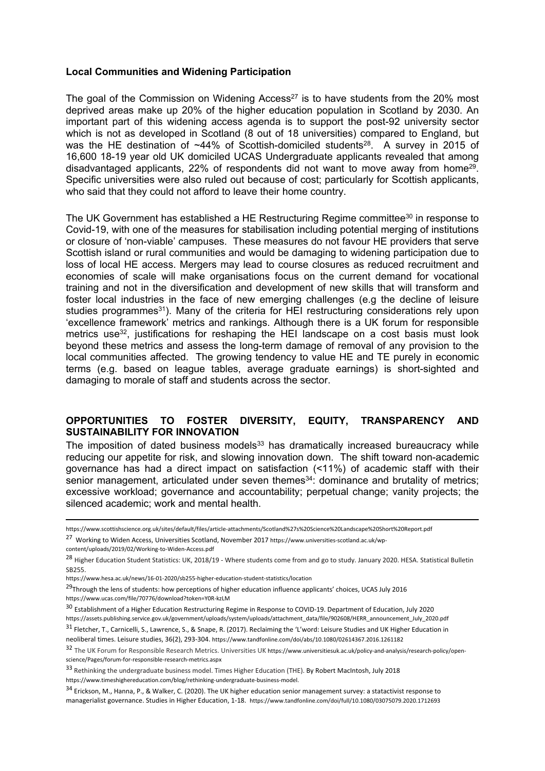### **Local Communities and Widening Participation**

The goal of the Commission on Widening Access<sup>27</sup> is to have students from the 20% most deprived areas make up 20% of the higher education population in Scotland by 2030. An important part of this widening access agenda is to support the post-92 university sector which is not as developed in Scotland (8 out of 18 universities) compared to England, but was the HE destination of  $~14\%$  of Scottish-domiciled students<sup>28</sup>. A survey in 2015 of 16,600 18-19 year old UK domiciled UCAS Undergraduate applicants revealed that among disadvantaged applicants, 22% of respondents did not want to move away from home<sup>29</sup>. Specific universities were also ruled out because of cost; particularly for Scottish applicants, who said that they could not afford to leave their home country.

The UK Government has established a HE Restructuring Regime committee<sup>30</sup> in response to Covid-19, with one of the measures for stabilisation including potential merging of institutions or closure of 'non-viable' campuses. These measures do not favour HE providers that serve Scottish island or rural communities and would be damaging to widening participation due to loss of local HE access. Mergers may lead to course closures as reduced recruitment and economies of scale will make organisations focus on the current demand for vocational training and not in the diversification and development of new skills that will transform and foster local industries in the face of new emerging challenges (e.g the decline of leisure studies programmes<sup>31</sup>). Many of the criteria for HEI restructuring considerations rely upon 'excellence framework' metrics and rankings. Although there is a UK forum for responsible metrics use<sup>32</sup>, justifications for reshaping the HEI landscape on a cost basis must look beyond these metrics and assess the long-term damage of removal of any provision to the local communities affected. The growing tendency to value HE and TE purely in economic terms (e.g. based on league tables, average graduate earnings) is short-sighted and damaging to morale of staff and students across the sector.

## **OPPORTUNITIES TO FOSTER DIVERSITY, EQUITY, TRANSPARENCY AND SUSTAINABILITY FOR INNOVATION**

The imposition of dated business models<sup>33</sup> has dramatically increased bureaucracy while reducing our appetite for risk, and slowing innovation down. The shift toward non-academic governance has had a direct impact on satisfaction (<11%) of academic staff with their senior management, articulated under seven themes<sup>34</sup>: dominance and brutality of metrics; excessive workload; governance and accountability; perpetual change; vanity projects; the silenced academic; work and mental health.

neoliberal times. Leisure studies, 36(2), 293-304. https://www.tandfonline.com/doi/abs/10.1080/02614367.2016.1261182

https://www.scottishscience.org.uk/sites/default/files/article-attachments/Scotland%27s%20Science%20Landscape%20Short%20Report.pdf

<sup>27</sup> Working to Widen Access, Universities Scotland, November 2017 https://www.universities-scotland.ac.uk/wp-

content/uploads/2019/02/Working-to-Widen-Access.pdf

<sup>&</sup>lt;sup>28</sup> Higher Education Student Statistics: UK, 2018/19 - Where students come from and go to study. January 2020. HESA. Statistical Bulletin SB255.

https://www.hesa.ac.uk/news/16-01-2020/sb255-higher-education-student-statistics/location

<sup>&</sup>lt;sup>29</sup>Through the lens of students: how perceptions of higher education influence applicants' choices, UCAS July 2016 <https://www.ucas.com/file/70776/download?token=Y0R-kzLM>

<sup>30</sup> Establishment of a Higher Education Restructuring Regime in Response to COVID-19. Department of Education, July 2020

https://assets.publishing.service.gov.uk/government/uploads/system/uploads/attachment\_data/file/902608/HERR\_announcement\_July\_2020.pdf <sup>31</sup> Fletcher, T., Carnicelli, S., Lawrence, S., & Snape, R. (2017). Reclaiming the 'L'word: Leisure Studies and UK Higher Education in

<sup>32</sup> The UK Forum for Responsible Research Metrics. Universities UK https://www.universitiesuk.ac.uk/policy-and-analysis/research-policy/openscience/Pages/forum-for-responsible-research-metrics.aspx

<sup>33</sup> Rethinking the undergraduate business model. Times Higher Education (THE). By Robert MacIntosh, July 2018 <https://www.timeshighereducation.com/blog/rethinking-undergraduate-business-model>.

 $34$  Erickson, M., Hanna, P., & Walker, C. (2020). The UK higher education senior management survey: a statactivist response to managerialist governance. Studies in Higher Education, 1-18. https://www.tandfonline.com/doi/full/10.1080/03075079.2020.1712693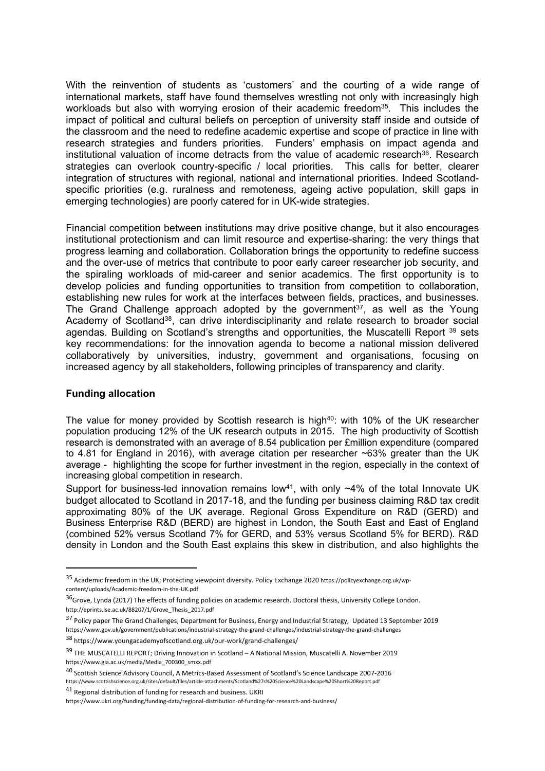With the reinvention of students as 'customers' and the courting of a wide range of international markets, staff have found themselves wrestling not only with increasingly high workloads but also with worrying erosion of their academic freedom<sup>35</sup>. This includes the impact of political and cultural beliefs on perception of university staff inside and outside of the classroom and the need to redefine academic expertise and scope of practice in line with research strategies and funders priorities. Funders' emphasis on impact agenda and institutional valuation of income detracts from the value of academic research<sup>36</sup>. Research strategies can overlook country-specific / local priorities. This calls for better, clearer integration of structures with regional, national and international priorities. Indeed Scotlandspecific priorities (e.g. ruralness and remoteness, ageing active population, skill gaps in emerging technologies) are poorly catered for in UK-wide strategies.

Financial competition between institutions may drive positive change, but it also encourages institutional protectionism and can limit resource and expertise-sharing: the very things that progress learning and collaboration. Collaboration brings the opportunity to redefine success and the over-use of metrics that contribute to poor early career researcher job security, and the spiraling workloads of mid-career and senior academics. The first opportunity is to develop policies and funding opportunities to transition from competition to collaboration, establishing new rules for work at the interfaces between fields, practices, and businesses. The Grand Challenge approach adopted by the government<sup>37</sup>, as well as the Young Academy of Scotland<sup>38</sup>, can drive interdisciplinarity and relate research to broader social agendas. Building on Scotland's strengths and opportunities, the Muscatelli Report 39 sets key recommendations: for the innovation agenda to become a national mission delivered collaboratively by universities, industry, government and organisations, focusing on increased agency by all stakeholders, following principles of transparency and clarity.

### **Funding allocation**

The value for money provided by Scottish research is high<sup>40</sup>: with 10% of the UK researcher population producing 12% of the UK research outputs in 2015. The high productivity of Scottish research is demonstrated with an average of 8.54 publication per £million expenditure (compared to 4.81 for England in 2016), with average citation per researcher ~63% greater than the UK average - highlighting the scope for further investment in the region, especially in the context of increasing global competition in research.

Support for business-led innovation remains low<sup>41</sup>, with only  $\sim$ 4% of the total Innovate UK budget allocated to Scotland in 2017-18, and the funding per business claiming R&D tax credit approximating 80% of the UK average. Regional Gross Expenditure on R&D (GERD) and Business Enterprise R&D (BERD) are highest in London, the South East and East of England (combined 52% versus Scotland 7% for GERD, and 53% versus Scotland 5% for BERD). R&D density in London and the South East explains this skew in distribution, and also highlights the

<sup>35</sup> Academic freedom in the UK; Protecting viewpoint diversity. Policy Exchange 2020 https://policyexchange.org.uk/wpcontent/uploads/Academic-freedom-in-the-UK.pdf

 $36$ Grove, Lynda (2017) The effects of funding policies on academic research. Doctoral thesis, University College London. http://eprints.lse.ac.uk/88207/1/Grove\_Thesis\_2017.pdf

<sup>&</sup>lt;sup>37</sup> Policy paper The Grand Challenges; Department for Business, Energy and Industrial Strategy, Updated 13 September 2019 https://www.gov.uk/government/publications/industrial-strategy-the-grand-challenges/industrial-strategy-the-grand-challenges

<sup>38</sup> https://www.youngacademyofscotland.org.uk/our-work/grand-challenges/

<sup>39</sup> THE MUSCATELLI REPORT; Driving Innovation in Scotland – A National Mission, Muscatelli A. November 2019 https://www.gla.ac.uk/media/Media\_700300\_smxx.pdf

<sup>40</sup> Scottish Science Advisory Council, A Metrics-Based Assessment of Scotland's Science Landscape 2007-2016 https://www.scottishscience.org.uk/sites/default/files/article-attachments/Scotland%27s%20Science%20Landscape%20Short%20Report.pdf

<sup>41</sup> Regional distribution of funding for research and business. UKRI

https://www.ukri.org/funding/funding-data/regional-distribution-of-funding-for-research-and-business/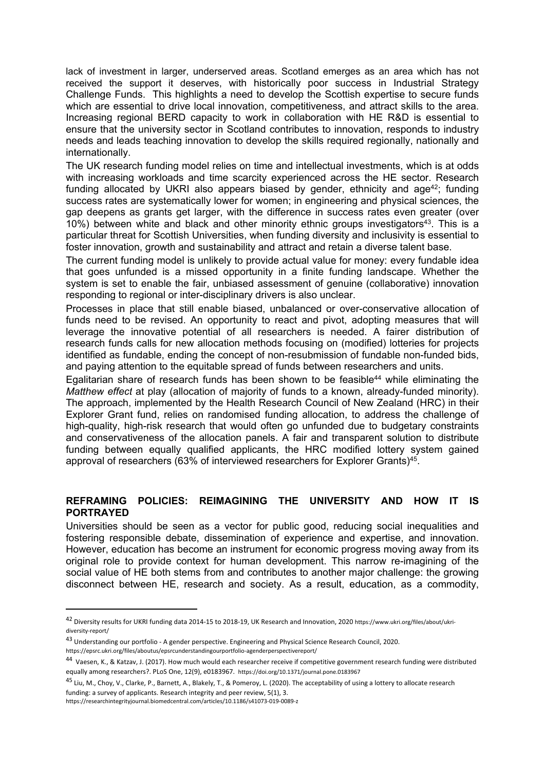lack of investment in larger, underserved areas. Scotland emerges as an area which has not received the support it deserves, with historically poor success in Industrial Strategy Challenge Funds. This highlights a need to develop the Scottish expertise to secure funds which are essential to drive local innovation, competitiveness, and attract skills to the area. Increasing regional BERD capacity to work in collaboration with HE R&D is essential to ensure that the university sector in Scotland contributes to innovation, responds to industry needs and leads teaching innovation to develop the skills required regionally, nationally and internationally.

The UK research funding model relies on time and intellectual investments, which is at odds with increasing workloads and time scarcity experienced across the HE sector. Research funding allocated by UKRI also appears biased by gender, ethnicity and age<sup>42</sup>; funding success rates are systematically lower for women; in engineering and physical sciences, the gap deepens as grants get larger, with the difference in success rates even greater (over 10%) between white and black and other minority ethnic groups investigators<sup>43</sup>. This is a particular threat for Scottish Universities, when funding diversity and inclusivity is essential to foster innovation, growth and sustainability and attract and retain a diverse talent base.

The current funding model is unlikely to provide actual value for money: every fundable idea that goes unfunded is a missed opportunity in a finite funding landscape. Whether the system is set to enable the fair, unbiased assessment of genuine (collaborative) innovation responding to regional or inter-disciplinary drivers is also unclear.

Processes in place that still enable biased, unbalanced or over-conservative allocation of funds need to be revised. An opportunity to react and pivot, adopting measures that will leverage the innovative potential of all researchers is needed. A fairer distribution of research funds calls for new allocation methods focusing on (modified) lotteries for projects identified as fundable, ending the concept of non-resubmission of fundable non-funded bids, and paying attention to the equitable spread of funds between researchers and units.

Egalitarian share of research funds has been shown to be feasible<sup>44</sup> while eliminating the *Matthew effect* at play (allocation of majority of funds to a known, already-funded minority). The approach, implemented by the Health Research Council of New Zealand (HRC) in their Explorer Grant fund, relies on randomised funding allocation, to address the challenge of high-quality, high-risk research that would often go unfunded due to budgetary constraints and conservativeness of the allocation panels. A fair and transparent solution to distribute funding between equally qualified applicants, the HRC modified lottery system gained approval of researchers (63% of interviewed researchers for Explorer Grants)<sup>45</sup>.

# **REFRAMING POLICIES: REIMAGINING THE UNIVERSITY AND HOW IT IS PORTRAYED**

Universities should be seen as a vector for public good, reducing social inequalities and fostering responsible debate, dissemination of experience and expertise, and innovation. However, education has become an instrument for economic progress moving away from its original role to provide context for human development. This narrow re-imagining of the social value of HE both stems from and contributes to another major challenge: the growing disconnect between HE, research and society. As a result, education, as a commodity,

https://researchintegrityjournal.biomedcentral.com/articles/10.1186/s41073-019-0089-z

<sup>42</sup> Diversity results for UKRI funding data 2014-15 to 2018-19, UK Research and Innovation, 2020 https://www.ukri.org/files/about/ukridiversity-report/

<sup>43</sup> Understanding our portfolio - A gender perspective. Engineering and Physical Science Research Council, 2020.

https://epsrc.ukri.org/files/aboutus/epsrcunderstandingourportfolio-agenderperspectivereport/

<sup>&</sup>lt;sup>44</sup> Vaesen, K., & Katzav, J. (2017). How much would each researcher receive if competitive government research funding were distributed equally among researchers?. PLoS One, 12(9), e0183967. https://doi.org/10.1371/journal.pone.0183967

<sup>&</sup>lt;sup>45</sup> Liu, M., Choy, V., Clarke, P., Barnett, A., Blakely, T., & Pomeroy, L. (2020). The acceptability of using a lottery to allocate research funding: a survey of applicants. Research integrity and peer review, 5(1), 3.